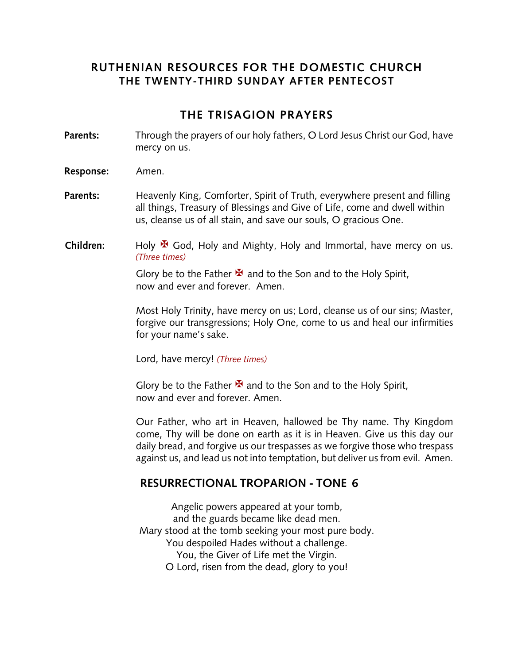## **RUTHENIAN RESOURCES FOR THE DOMESTIC CHURCH THE TWENTY-THIRD SUNDAY AFTER PENTECOST**

## **THE TRISAGION PRAYERS**

- **Parents:** Through the prayers of our holy fathers, O Lord Jesus Christ our God, have mercy on us.
- **Response:** Amen.
- **Parents:** Heavenly King, Comforter, Spirit of Truth, everywhere present and filling all things, Treasury of Blessings and Give of Life, come and dwell within us, cleanse us of all stain, and save our souls, O gracious One.
- **Children:** Holy  $\mathbf{\Psi}$  God, Holy and Mighty, Holy and Immortal, have mercy on us. *(Three times)*

Glory be to the Father  $\mathbf{\mathbf{\mathbf{\mathsf{F}}} }$  and to the Son and to the Holy Spirit, now and ever and forever. Amen.

Most Holy Trinity, have mercy on us; Lord, cleanse us of our sins; Master, forgive our transgressions; Holy One, come to us and heal our infirmities for your name's sake.

Lord, have mercy! *(Three times)*

Glory be to the Father  $\mathbf{\Sigma}$  and to the Son and to the Holy Spirit, now and ever and forever. Amen.

Our Father, who art in Heaven, hallowed be Thy name. Thy Kingdom come, Thy will be done on earth as it is in Heaven. Give us this day our daily bread, and forgive us our trespasses as we forgive those who trespass against us, and lead us not into temptation, but deliver us from evil. Amen.

## **RESURRECTIONAL TROPARION - TONE 6**

Angelic powers appeared at your tomb, and the guards became like dead men. Mary stood at the tomb seeking your most pure body. You despoiled Hades without a challenge. You, the Giver of Life met the Virgin. O Lord, risen from the dead, glory to you!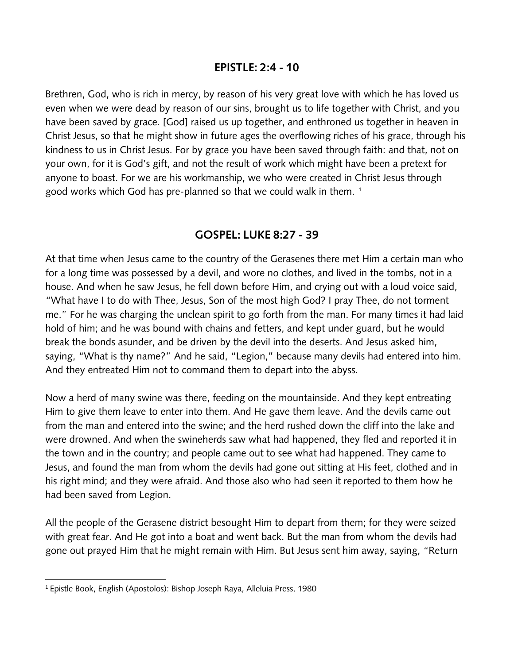### **EPISTLE: 2:4 - 10**

Brethren, God, who is rich in mercy, by reason of his very great love with which he has loved us even when we were dead by reason of our sins, brought us to life together with Christ, and you have been saved by grace. [God] raised us up together, and enthroned us together in heaven in Christ Jesus, so that he might show in future ages the overflowing riches of his grace, through his kindness to us in Christ Jesus. For by grace you have been saved through faith: and that, not on your own, for it is God's gift, and not the result of work which might have been a pretext for anyone to boast. For we are his workmanship, we who were created in Christ Jesus through good works which God has pre-planned so that we could walk in them.<sup>1</sup>

## **GOSPEL: LUKE 8:27 - 39**

At that time when Jesus came to the country of the Gerasenes there met Him a certain man who for a long time was possessed by a devil, and wore no clothes, and lived in the tombs, not in a house. And when he saw Jesus, he fell down before Him, and crying out with a loud voice said, "What have I to do with Thee, Jesus, Son of the most high God? I pray Thee, do not torment me." For he was charging the unclean spirit to go forth from the man. For many times it had laid hold of him; and he was bound with chains and fetters, and kept under guard, but he would break the bonds asunder, and be driven by the devil into the deserts. And Jesus asked him, saying, "What is thy name?" And he said, "Legion," because many devils had entered into him. And they entreated Him not to command them to depart into the abyss.

Now a herd of many swine was there, feeding on the mountainside. And they kept entreating Him to give them leave to enter into them. And He gave them leave. And the devils came out from the man and entered into the swine; and the herd rushed down the cliff into the lake and were drowned. And when the swineherds saw what had happened, they fled and reported it in the town and in the country; and people came out to see what had happened. They came to Jesus, and found the man from whom the devils had gone out sitting at His feet, clothed and in his right mind; and they were afraid. And those also who had seen it reported to them how he had been saved from Legion.

All the people of the Gerasene district besought Him to depart from them; for they were seized with great fear. And He got into a boat and went back. But the man from whom the devils had gone out prayed Him that he might remain with Him. But Jesus sent him away, saying, "Return

<sup>1</sup> Epistle Book, English (Apostolos): Bishop Joseph Raya, Alleluia Press, 1980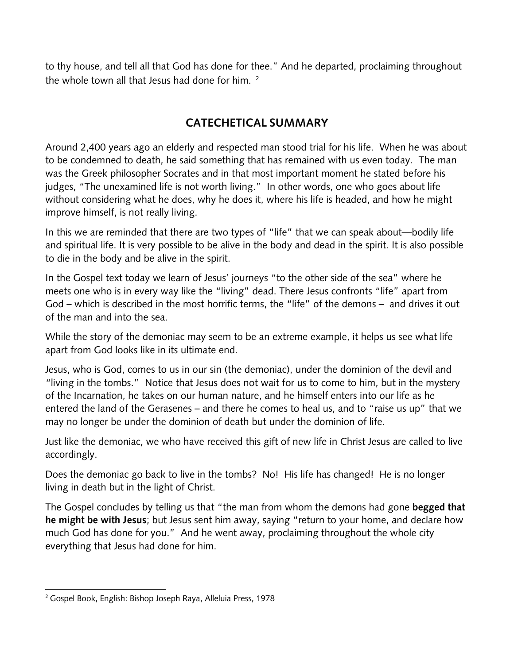to thy house, and tell all that God has done for thee." And he departed, proclaiming throughout the whole town all that Jesus had done for him. <sup>2</sup>

# **CATECHETICAL SUMMARY**

Around 2,400 years ago an elderly and respected man stood trial for his life. When he was about to be condemned to death, he said something that has remained with us even today. The man was the Greek philosopher Socrates and in that most important moment he stated before his judges, "The unexamined life is not worth living." In other words, one who goes about life without considering what he does, why he does it, where his life is headed, and how he might improve himself, is not really living.

In this we are reminded that there are two types of "life" that we can speak about—bodily life and spiritual life. It is very possible to be alive in the body and dead in the spirit. It is also possible to die in the body and be alive in the spirit.

In the Gospel text today we learn of Jesus' journeys "to the other side of the sea" where he meets one who is in every way like the "living" dead. There Jesus confronts "life" apart from God – which is described in the most horrific terms, the "life" of the demons – and drives it out of the man and into the sea.

While the story of the demoniac may seem to be an extreme example, it helps us see what life apart from God looks like in its ultimate end.

Jesus, who is God, comes to us in our sin (the demoniac), under the dominion of the devil and "living in the tombs." Notice that Jesus does not wait for us to come to him, but in the mystery of the Incarnation, he takes on our human nature, and he himself enters into our life as he entered the land of the Gerasenes – and there he comes to heal us, and to "raise us up" that we may no longer be under the dominion of death but under the dominion of life.

Just like the demoniac, we who have received this gift of new life in Christ Jesus are called to live accordingly.

Does the demoniac go back to live in the tombs? No! His life has changed! He is no longer living in death but in the light of Christ.

The Gospel concludes by telling us that "the man from whom the demons had gone **begged that he might be with Jesus**; but Jesus sent him away, saying "return to your home, and declare how much God has done for you." And he went away, proclaiming throughout the whole city everything that Jesus had done for him.

<sup>2</sup> Gospel Book, English: Bishop Joseph Raya, Alleluia Press, 1978